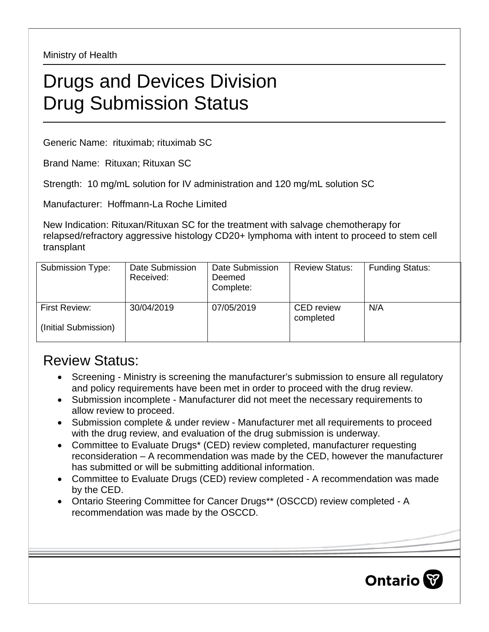Ministry of Health

## Drugs and Devices Division Drug Submission Status

Generic Name: rituximab; rituximab SC

Brand Name: Rituxan; Rituxan SC

Strength: 10 mg/mL solution for IV administration and 120 mg/mL solution SC

Manufacturer: Hoffmann-La Roche Limited

New Indication: Rituxan/Rituxan SC for the treatment with salvage chemotherapy for relapsed/refractory aggressive histology CD20+ lymphoma with intent to proceed to stem cell transplant

| Submission Type:                      | Date Submission<br>Received: | Date Submission<br>Deemed<br>Complete: | <b>Review Status:</b>          | <b>Funding Status:</b> |
|---------------------------------------|------------------------------|----------------------------------------|--------------------------------|------------------------|
| First Review:<br>(Initial Submission) | 30/04/2019                   | 07/05/2019                             | <b>CED</b> review<br>completed | N/A                    |

## Review Status:

- Screening Ministry is screening the manufacturer's submission to ensure all regulatory and policy requirements have been met in order to proceed with the drug review.
- Submission incomplete Manufacturer did not meet the necessary requirements to allow review to proceed.
- Submission complete & under review Manufacturer met all requirements to proceed with the drug review, and evaluation of the drug submission is underway.
- Committee to Evaluate Drugs\* (CED) review completed, manufacturer requesting reconsideration – A recommendation was made by the CED, however the manufacturer has submitted or will be submitting additional information.
- Committee to Evaluate Drugs (CED) review completed A recommendation was made by the CED.
- Ontario Steering Committee for Cancer Drugs\*\* (OSCCD) review completed A recommendation was made by the OSCCD.